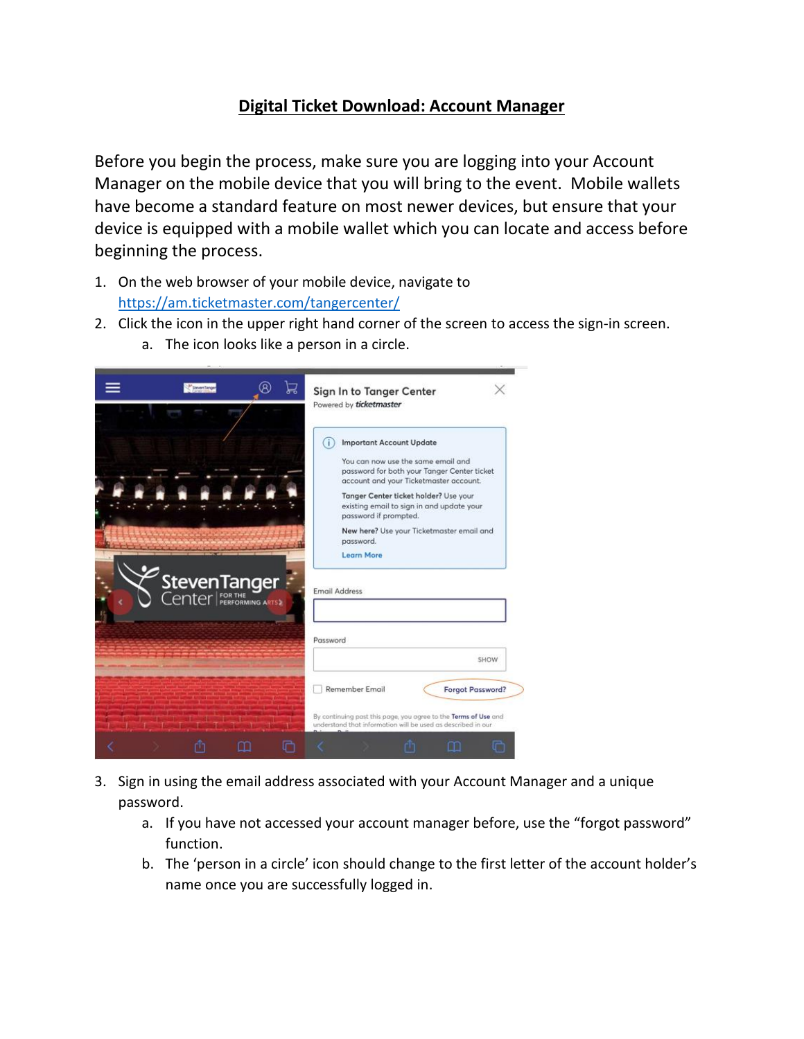## **Digital Ticket Download: Account Manager**

Before you begin the process, make sure you are logging into your Account Manager on the mobile device that you will bring to the event. Mobile wallets have become a standard feature on most newer devices, but ensure that your device is equipped with a mobile wallet which you can locate and access before beginning the process.

- 1. On the web browser of your mobile device, navigate to <https://am.ticketmaster.com/tangercenter/>
- 2. Click the icon in the upper right hand corner of the screen to access the sign-in screen.
	- a. The icon looks like a person in a circle.



- 3. Sign in using the email address associated with your Account Manager and a unique password.
	- a. If you have not accessed your account manager before, use the "forgot password" function.
	- b. The 'person in a circle' icon should change to the first letter of the account holder's name once you are successfully logged in.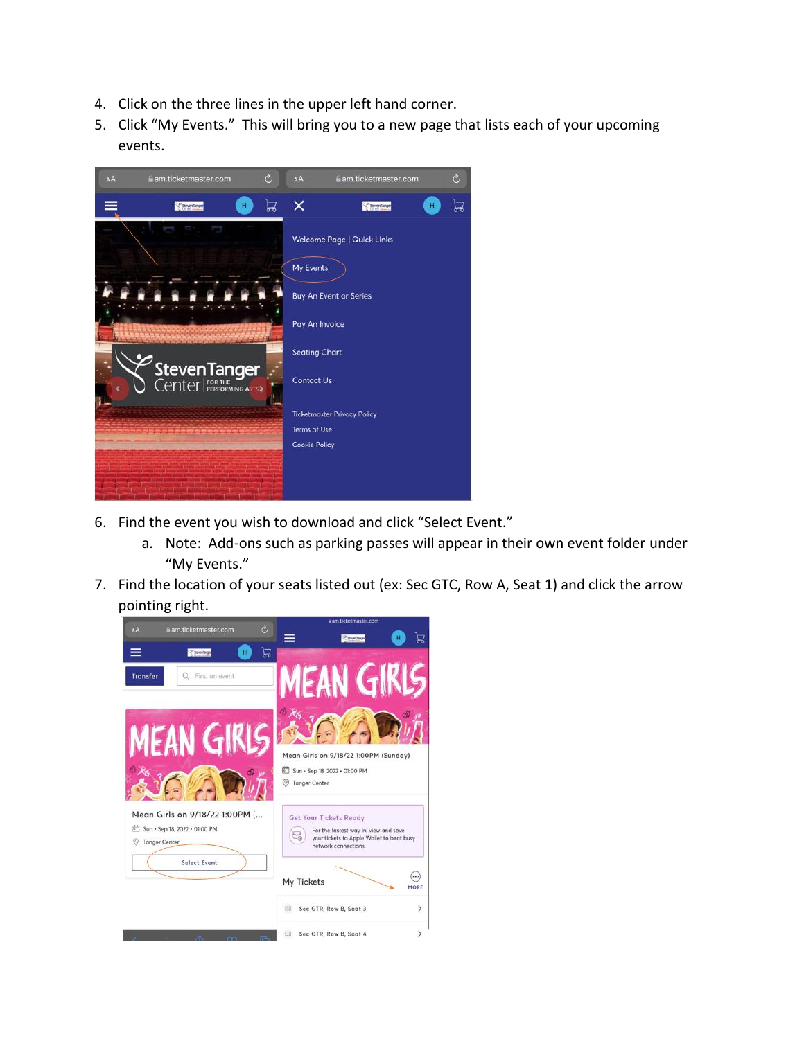- 4. Click on the three lines in the upper left hand corner.
- 5. Click "My Events." This will bring you to a new page that lists each of your upcoming events.



- 6. Find the event you wish to download and click "Select Event."
	- a. Note: Add-ons such as parking passes will appear in their own event folder under "My Events."
- 7. Find the location of your seats listed out (ex: Sec GTC, Row A, Seat 1) and click the arrow pointing right.

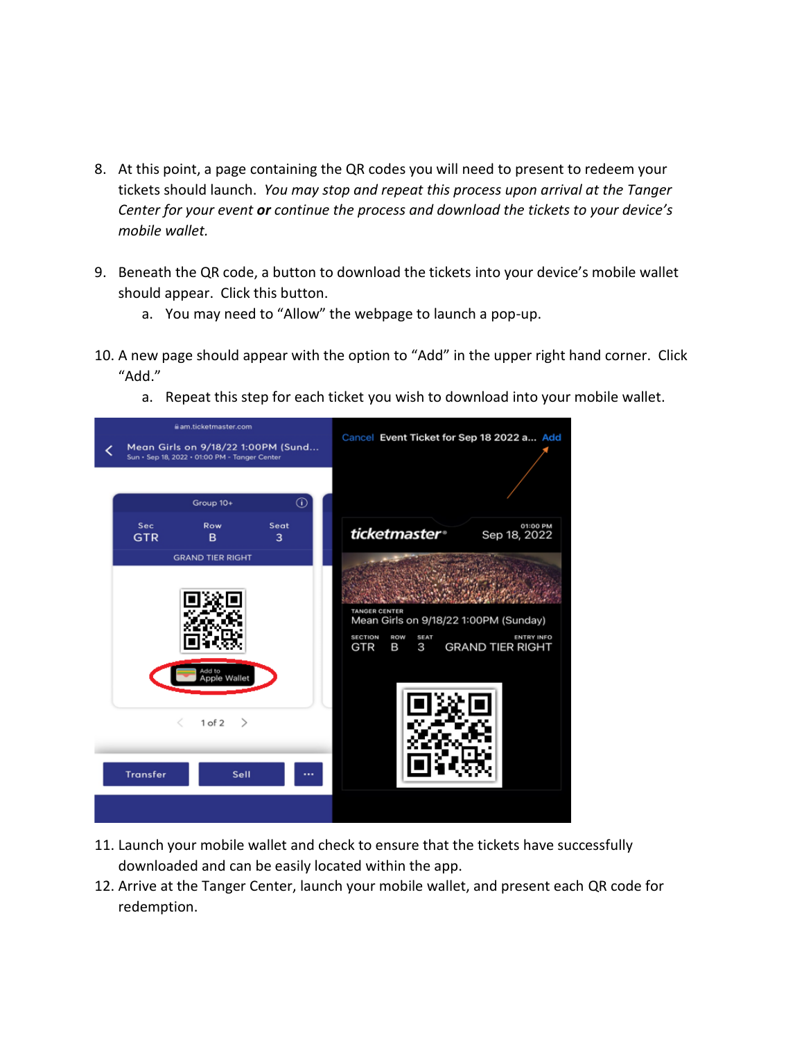- 8. At this point, a page containing the QR codes you will need to present to redeem your tickets should launch. *You may stop and repeat this process upon arrival at the Tanger Center for your event or continue the process and download the tickets to your device's mobile wallet.*
- 9. Beneath the QR code, a button to download the tickets into your device's mobile wallet should appear. Click this button.
	- a. You may need to "Allow" the webpage to launch a pop-up.
- 10. A new page should appear with the option to "Add" in the upper right hand corner. Click "Add."
	- a. Repeat this step for each ticket you wish to download into your mobile wallet.



- 11. Launch your mobile wallet and check to ensure that the tickets have successfully downloaded and can be easily located within the app.
- 12. Arrive at the Tanger Center, launch your mobile wallet, and present each QR code for redemption.